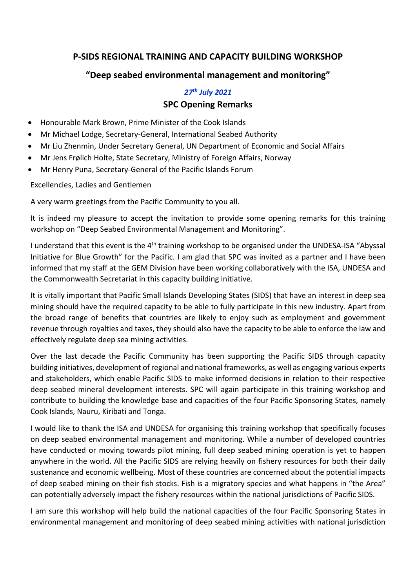## **P-SIDS REGIONAL TRAINING AND CAPACITY BUILDING WORKSHOP**

## **"Deep seabed environmental management and monitoring"**

## *27th July 2021* **SPC Opening Remarks**

- Honourable Mark Brown, Prime Minister of the Cook Islands
- Mr Michael Lodge, Secretary-General, International Seabed Authority
- Mr Liu Zhenmin, Under Secretary General, UN Department of Economic and Social Affairs
- Mr Jens Frølich Holte, State Secretary, Ministry of Foreign Affairs, Norway
- Mr Henry Puna, Secretary-General of the Pacific Islands Forum

Excellencies, Ladies and Gentlemen

A very warm greetings from the Pacific Community to you all.

It is indeed my pleasure to accept the invitation to provide some opening remarks for this training workshop on "Deep Seabed Environmental Management and Monitoring".

I understand that this event is the 4<sup>th</sup> training workshop to be organised under the UNDESA-ISA "Abyssal Initiative for Blue Growth" for the Pacific. I am glad that SPC was invited as a partner and I have been informed that my staff at the GEM Division have been working collaboratively with the ISA, UNDESA and the Commonwealth Secretariat in this capacity building initiative.

It is vitally important that Pacific Small Islands Developing States (SIDS) that have an interest in deep sea mining should have the required capacity to be able to fully participate in this new industry. Apart from the broad range of benefits that countries are likely to enjoy such as employment and government revenue through royalties and taxes, they should also have the capacity to be able to enforce the law and effectively regulate deep sea mining activities.

Over the last decade the Pacific Community has been supporting the Pacific SIDS through capacity building initiatives, development of regional and national frameworks, as well as engaging various experts and stakeholders, which enable Pacific SIDS to make informed decisions in relation to their respective deep seabed mineral development interests. SPC will again participate in this training workshop and contribute to building the knowledge base and capacities of the four Pacific Sponsoring States, namely Cook Islands, Nauru, Kiribati and Tonga.

I would like to thank the ISA and UNDESA for organising this training workshop that specifically focuses on deep seabed environmental management and monitoring. While a number of developed countries have conducted or moving towards pilot mining, full deep seabed mining operation is yet to happen anywhere in the world. All the Pacific SIDS are relying heavily on fishery resources for both their daily sustenance and economic wellbeing. Most of these countries are concerned about the potential impacts of deep seabed mining on their fish stocks. Fish is a migratory species and what happens in "the Area" can potentially adversely impact the fishery resources within the national jurisdictions of Pacific SIDS.

I am sure this workshop will help build the national capacities of the four Pacific Sponsoring States in environmental management and monitoring of deep seabed mining activities with national jurisdiction